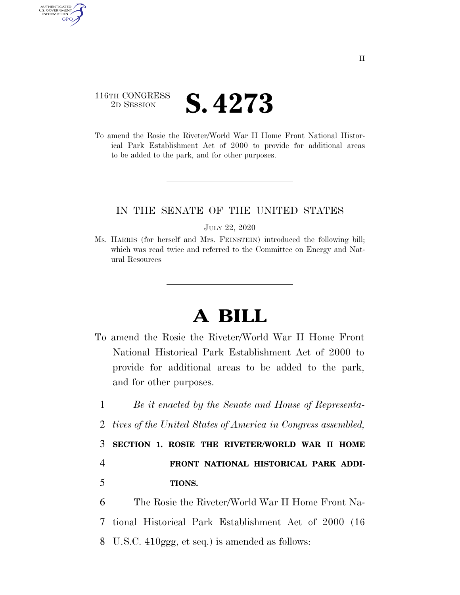## 116TH CONGRESS <sup>2D SESSION</sup> **S. 4273**

AUTHENTICATED U.S. GOVERNMENT GPO

> To amend the Rosie the Riveter/World War II Home Front National Historical Park Establishment Act of 2000 to provide for additional areas to be added to the park, and for other purposes.

## IN THE SENATE OF THE UNITED STATES

JULY 22, 2020

Ms. HARRIS (for herself and Mrs. FEINSTEIN) introduced the following bill; which was read twice and referred to the Committee on Energy and Natural Resources

## **A BILL**

- To amend the Rosie the Riveter/World War II Home Front National Historical Park Establishment Act of 2000 to provide for additional areas to be added to the park, and for other purposes.
- 1 *Be it enacted by the Senate and House of Representa-*
- 2 *tives of the United States of America in Congress assembled,*

3 **SECTION 1. ROSIE THE RIVETER/WORLD WAR II HOME** 

4 **FRONT NATIONAL HISTORICAL PARK ADDI-**5 **TIONS.** 

6 The Rosie the Riveter/World War II Home Front Na-7 tional Historical Park Establishment Act of 2000 (16 8 U.S.C. 410ggg, et seq.) is amended as follows: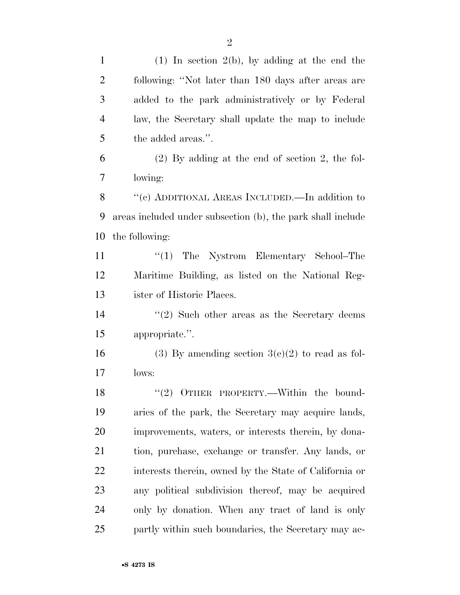| $\mathbf{1}$   | $(1)$ In section $2(b)$ , by adding at the end the           |
|----------------|--------------------------------------------------------------|
| $\overline{2}$ | following: "Not later than 180 days after areas are          |
| 3              | added to the park administratively or by Federal             |
| $\overline{4}$ | law, the Secretary shall update the map to include           |
| 5              | the added areas.".                                           |
| 6              | $(2)$ By adding at the end of section 2, the fol-            |
| 7              | lowing:                                                      |
| 8              | "(c) ADDITIONAL AREAS INCLUDED.—In addition to               |
| 9              | areas included under subsection (b), the park shall include  |
| 10             | the following:                                               |
| 11             | $\lq(1)$ The Nystrom Elementary School–The                   |
| 12             | Maritime Building, as listed on the National Reg-            |
| 13             | ister of Historic Places.                                    |
| 14             | $\cdot\cdot\cdot(2)$ Such other areas as the Secretary deems |
| 15             | appropriate.".                                               |
| 16             | (3) By amending section $3(e)(2)$ to read as fol-            |
| 17             | lows:                                                        |
| 18             | $\lq(2)$ OTHER PROPERTY.—Within the bound-                   |
| 19             | aries of the park, the Secretary may acquire lands,          |
| 20             | improvements, waters, or interests therein, by dona-         |
| 21             | tion, purchase, exchange or transfer. Any lands, or          |
| 22             | interests therein, owned by the State of California or       |
| 23             | any political subdivision thereof, may be acquired           |
| 24             | only by donation. When any tract of land is only             |
| 25             | partly within such boundaries, the Secretary may ac-         |